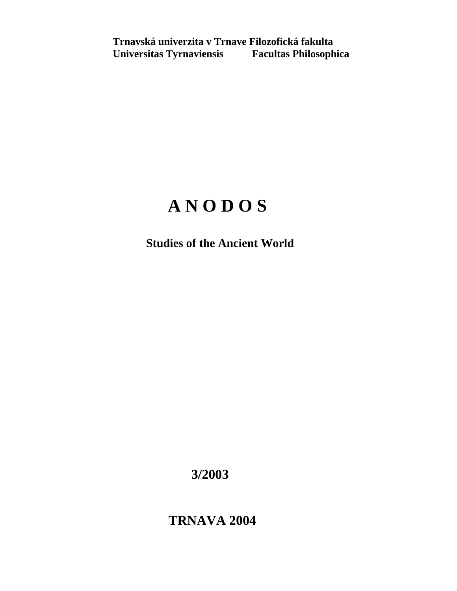**Trnavská univerzita v Trnave Filozofická fakulta Universitas Tyrnaviensis Facultas Philosophica** 

# **A N O D O S**

 **Studies of the Ancient World** 

 **3/2003** 

 **TRNAVA 2004**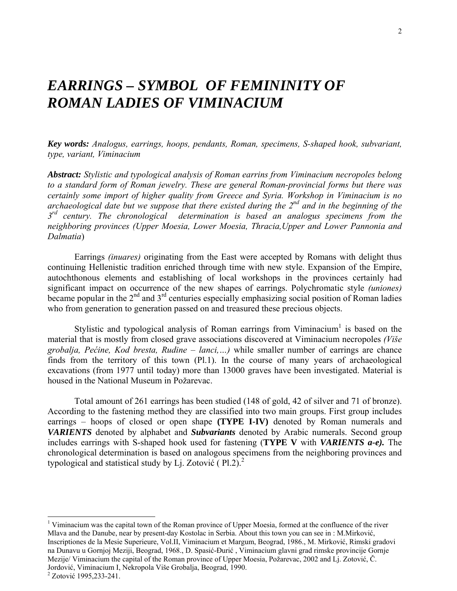## *EARRINGS – SYMBOL OF FEMININITY OF ROMAN LADIES OF VIMINACIUM*

*Key words: Analogus, earrings, hoops, pendants, Roman, specimens, S-shaped hook, subvariant, type, variant, Viminacium*

*Abstract: Stylistic and typological analysis of Roman earrins from Viminacium necropoles belong to a standard form of Roman jewelry. These are general Roman-provincial forms but there was certainly some import of higher quality from Greece and Syria. Workshop in Viminacium is no archaeological date but we suppose that there existed during the 2nd and in the beginning of the 3rd century. The chronological determination is based an analogus specimens from the neighboring provinces (Upper Moesia, Lower Moesia, Thracia,Upper and Lower Pannonia and Dalmatia*)

 Earrings *(inuares)* originating from the East were accepted by Romans with delight thus continuing Hellenistic tradition enriched through time with new style. Expansion of the Empire, autochthonous elements and establishing of local workshops in the provinces certainly had significant impact on occurrence of the new shapes of earrings. Polychromatic style *(uniones)* became popular in the  $2<sup>nd</sup>$  and  $3<sup>rd</sup>$  centuries especially emphasizing social position of Roman ladies who from generation to generation passed on and treasured these precious objects.

Stylistic and typological analysis of Roman earrings from Viminacium<sup>1</sup> is based on the material that is mostly from closed grave associations discovered at Viminacium necropoles *(Više grobalja, Pećine, Kod bresta, Rudine – lanci,…)* while smaller number of earrings are chance finds from the territory of this town (Pl.1). In the course of many years of archaeological excavations (from 1977 until today) more than 13000 graves have been investigated. Material is housed in the National Museum in Požarevac.

 Total amount of 261 earrings has been studied (148 of gold, 42 of silver and 71 of bronze). According to the fastening method they are classified into two main groups. First group includes earrings – hoops of closed or open shape **(TYPE I-IV)** denoted by Roman numerals and *VARIENTS* denoted by alphabet and *Subvariants* denoted by Arabic numerals. Second group includes earrings with S-shaped hook used for fastening (**TYPE V** with *VARIENTS a-e).* The chronological determination is based on analogous specimens from the neighboring provinces and typological and statistical study by Li. Zotović ( $P1.2$ ).<sup>2</sup>

<sup>&</sup>lt;sup>1</sup> Viminacium was the capital town of the Roman province of Upper Moesia, formed at the confluence of the river Mlava and the Danube, near by present-day Kostolac in Serbia. About this town you can see in : M.Mirković, Inscriptiones de la Mesie Superieure, Vol.II, Viminacium et Margum, Beograd, 1986., M. Mirković, Rimski gradovi na Dunavu u Gornjoj Meziji, Beograd, 1968., D. Spasić-Đurić , Viminacium glavni grad rimske provincije Gornje Mezije/ Viminacium the capital of the Roman province of Upper Moesia, Požarevac, 2002 and Lj. Zotović, Č. Jordović, Viminacium I, Nekropola Više Grobalja, Beograd, 1990. 2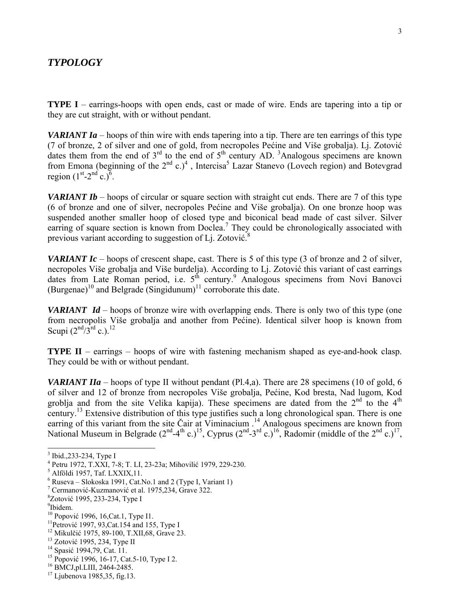#### *TYPOLOGY*

**TYPE I** – earrings-hoops with open ends, cast or made of wire. Ends are tapering into a tip or they are cut straight, with or without pendant.

*VARIANT Ia* – hoops of thin wire with ends tapering into a tip. There are ten earrings of this type (7 of bronze, 2 of silver and one of gold, from necropoles Pećine and Više grobalja). Lj. Zotović dates them from the end of  $3<sup>rd</sup>$  to the end of  $5<sup>th</sup>$  century AD. <sup>3</sup>Analogous specimens are known from Emona (beginning of the  $2<sup>nd</sup>$  c.)<sup>4</sup>, Intercisa<sup>5</sup> Lazar Stanevo (Lovech region) and Botevgrad region  $(1<sup>st</sup>-2<sup>nd</sup> c.)<sup>6</sup>$ .

*VARIANT Ib* – hoops of circular or square section with straight cut ends. There are 7 of this type (6 of bronze and one of silver, necropoles Pećine and Više grobalja). On one bronze hoop was suspended another smaller hoop of closed type and biconical bead made of cast silver. Silver earring of square section is known from Doclea.<sup>7</sup> They could be chronologically associated with previous variant according to suggestion of Lj. Zotović.<sup>8</sup>

*VARIANT Ic* – hoops of crescent shape, cast. There is 5 of this type (3 of bronze and 2 of silver, necropoles Više grobalja and Više burdelja). According to Lj. Zotović this variant of cast earrings dates from Late Roman period, i.e. 5<sup>th</sup> century.<sup>9</sup> Analogous specimens from Novi Banovci (Burgenae)<sup>10</sup> and Belgrade (Singidunum)<sup>11</sup> corroborate this date.

*VARIANT Id* – hoops of bronze wire with overlapping ends. There is only two of this type (one from necropolis Više grobalja and another from Pećine). Identical silver hoop is known from Scupi  $(2^{nd}/3^{rd} c.)$ .<sup>12</sup>

**TYPE II** – earrings – hoops of wire with fastening mechanism shaped as eye-and-hook clasp. They could be with or without pendant.

*VARIANT IIa* – hoops of type II without pendant (Pl.4,a). There are 28 specimens (10 of gold, 6 of silver and 12 of bronze from necropoles Više grobalja, Pećine, Kod bresta, Nad lugom, Kod groblja and from the site Velika kapija). These specimens are dated from the  $2<sup>nd</sup>$  to the  $4<sup>th</sup>$ century.<sup>13</sup> Extensive distribution of this type justifies such a long chronological span. There is one earring of this variant from the site Čair at Viminacium .<sup>14</sup> Analogous specimens are known from National Museum in Belgrade  $(2<sup>nd</sup>-4<sup>th</sup> c.)<sup>15</sup>$ , Cyprus  $(2<sup>nd</sup>-3<sup>rd</sup> c.)<sup>16</sup>$ , Radomir (middle of the  $2<sup>nd</sup> c.)<sup>17</sup>$ ,

<sup>&</sup>lt;sup>3</sup> Ibid., 233-234, Type I

<sup>4</sup> Petru 1972, T.XXI, 7-8; T. LI, 23-23a; Mihovilić 1979, 229-230. 5

 $<sup>5</sup>$  Alföldi 1957, Taf. LXXIX, 11.</sup>

 $6$  Ruseva – Slokoska 1991, Cat. No.1 and 2 (Type I, Variant 1)

<sup>&</sup>lt;sup>7</sup> Cermanović-Kuzmanović et al. 1975,234, Grave 322.

<sup>&</sup>lt;sup>8</sup>Zotović 1995, 233-234, Type I

<sup>&</sup>lt;sup>9</sup>Ibidem.<br><sup>10</sup> Popović 1996, 16,Cat.1, Type I1.

<sup>&</sup>lt;sup>11</sup>Petrović 1997, 93,Cat.154 and 155, Type I<br><sup>12</sup> Mikulčić 1975, 89-100, T.XII,68, Grave 23.<br><sup>13</sup> Zotović 1995, 234, Type II<br><sup>14</sup> Spasić 1994,79, Cat. 11.<br><sup>15</sup> Popović 1996, 16-17, Cat.5-10, Type I 2.<br><sup>16</sup> BMCJ,pl.LIII, 2

 $17$  Ljubenova 1985, 35, fig. 13.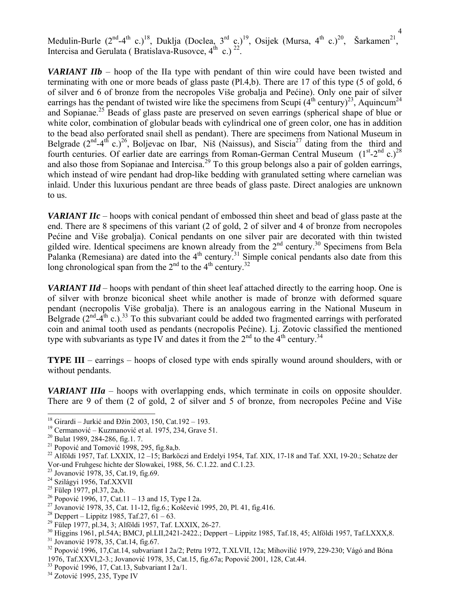4 Medulin-Burle  $(2^{nd}-4^{th} c.)^{18}$ , Duklja (Doclea, 3<sup>rd</sup> c.)<sup>19</sup>, Osijek (Mursa, 4<sup>th</sup> c.)<sup>20</sup>, Šarkamen<sup>21</sup>, Intercisa and Gerulata ( Bratislava-Rusovce,  $4^{th}$  c.) <sup>22</sup>.

*VARIANT IIb* – hoop of the IIa type with pendant of thin wire could have been twisted and terminating with one or more beads of glass paste (Pl.4,b). There are 17 of this type (5 of gold, 6 of silver and 6 of bronze from the necropoles Više grobalja and Pećine). Only one pair of silver earrings has the pendant of twisted wire like the specimens from Scupi  $(4^{th}$  century)<sup>23</sup>, Aquincum<sup>24</sup> and Sopianae.25 Beads of glass paste are preserved on seven earrings (spherical shape of blue or white color, combination of globular beads with cylindrical one of green color, one has in addition to the bead also perforated snail shell as pendant). There are specimens from National Museum in Belgrade  $(2^{nd} - 4^{th} c)^{26}$ , Boljevac on Ibar, Niš (Naissus), and Siscia<sup>27</sup> dating from the third and fourth centuries. Of earlier date are earrings from Roman-German Central Museum  $(1<sup>st</sup>-2<sup>nd</sup> c.)<sup>28</sup>$ and also those from Sopianae and Intercisa.<sup>29</sup> To this group belongs also a pair of golden earrings, which instead of wire pendant had drop-like bedding with granulated setting where carnelian was inlaid. Under this luxurious pendant are three beads of glass paste. Direct analogies are unknown to us.

*VARIANT IIc* – hoops with conical pendant of embossed thin sheet and bead of glass paste at the end. There are 8 specimens of this variant (2 of gold, 2 of silver and 4 of bronze from necropoles Pećine and Više grobalja). Conical pendants on one silver pair are decorated with thin twisted gilded wire. Identical specimens are known already from the 2<sup>nd</sup> century.<sup>30</sup> Specimens from Bela Palanka (Remesiana) are dated into the  $4<sup>th</sup>$  century.<sup>31</sup> Simple conical pendants also date from this long chronological span from the  $2<sup>nd</sup>$  to the  $4<sup>th</sup>$  century.<sup>32</sup>

*VARIANT IId* – hoops with pendant of thin sheet leaf attached directly to the earring hoop. One is of silver with bronze biconical sheet while another is made of bronze with deformed square pendant (necropolis Više grobalja). There is an analogous earring in the National Museum in Belgrade  $(2^{nd}-4^{th} c.)$ <sup>33</sup> To this subvariant could be added two fragmented earrings with perforated coin and animal tooth used as pendants (necropolis Pećine). Lj. Zotovic classified the mentioned type with subvariants as type IV and dates it from the  $2<sup>nd</sup>$  to the  $4<sup>th</sup>$  century.<sup>34</sup>

**TYPE III** – earrings – hoops of closed type with ends spirally wound around shoulders, with or without pendants.

*VARIANT IIIa* – hoops with overlapping ends, which terminate in coils on opposite shoulder. There are 9 of them (2 of gold, 2 of silver and 5 of bronze, from necropoles Pećine and Više

<sup>&</sup>lt;sup>18</sup> Girardi – Jurkić and Đžin 2003, 150, Cat.192 – 193.<br><sup>19</sup> Cermanović – Kuzmanović et al. 1975, 234, Grave 51.<br><sup>20</sup> Bulat 1989, 284-286, fig.1. 7.<br><sup>21</sup> Popović and Tomović 1998, 295, fig.8a,b.

<sup>&</sup>lt;sup>22</sup> Alföldi 1957, Taf. LXXIX,  $12-15$ ; Barköczi and Erdelyi 1954, Taf. XIX, 17-18 and Taf. XXI, 19-20.; Schatze der Vor-und Fruhgesc hichte der Slowakei, 1988, 56. C.1.22. and C.1.23.

<sup>&</sup>lt;sup>23</sup> Jovanović 1978, 35, Cat.19, fig.69.<br><sup>24</sup> Szilágyi 1956, Taf.XXVII

<sup>&</sup>lt;sup>25</sup> Fülep 1977, pl.37, 2a,b.<br><sup>26</sup> Popović 1996, 17, Cat.11 – 13 and 15, Type I 2a.

<sup>&</sup>lt;sup>27</sup> Jovanović 1978, 35, Cat. 11-12, fig.6.; Koščević 1995, 20, Pl. 41, fig.416. <sup>28</sup> Deppert – Lippitz 1985, Taf.27, 61 – 63.

<sup>29</sup> Fülep 1977, pl.34, 3; Alföldi 1957, Taf. LXXIX, 26-27.

 $30$  Higgins 1961, pl.54A; BMCJ, pl.LII,2421-2422.; Deppert – Lippitz 1985, Taf.18, 45; Alföldi 1957, Taf.LXXX,8.<br> $31$  Jovanović 1978, 35, Cat.14, fig.67.

 $32$  Popović 1996, 17, Cat.14, subvariant I 2a/2; Petru 1972, T.XLVII, 12a; Mihovilić 1979, 229-230; Vágó and Bóna 1976, Taf.XXVI,2-3.; Jovanović 1978, 35, Cat.15, fig.67a; Popović 2001, 128, Cat.44. 33 Popović 1996, 17, Cat.13, Subvariant I 2a/1. 34 Zotović 1995, 235, Type IV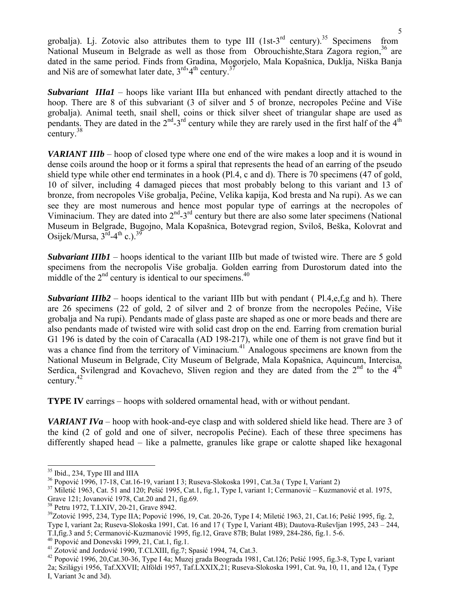grobalja). Lj. Zotovic also attributes them to type III (1st-3<sup>rd</sup> century).<sup>35</sup> Specimens from National Museum in Belgrade as well as those from Obrouchishte, Stara Zagora region,  $36$  are dated in the same period. Finds from Gradina, Mogorjelo, Mala Kopašnica, Duklja, Niška Banja and Niš are of somewhat later date,  $3^{rd}$ <sup>4th</sup> century.<sup>37</sup>

*Subvariant IIIa1* – hoops like variant IIIa but enhanced with pendant directly attached to the hoop. There are 8 of this subvariant (3 of silver and 5 of bronze, necropoles Pećine and Više grobalja). Animal teeth, snail shell, coins or thick silver sheet of triangular shape are used as pendants. They are dated in the  $2<sup>nd</sup>$ -3<sup>rd</sup> century while they are rarely used in the first half of the  $4<sup>th</sup>$ century.<sup>38</sup>

*VARIANT IIIb* – hoop of closed type where one end of the wire makes a loop and it is wound in dense coils around the hoop or it forms a spiral that represents the head of an earring of the pseudo shield type while other end terminates in a hook (Pl.4, c and d). There is 70 specimens (47 of gold, 10 of silver, including 4 damaged pieces that most probably belong to this variant and 13 of bronze, from necropoles Više grobalja, Pećine, Velika kapija, Kod bresta and Na rupi). As we can see they are most numerous and hence most popular type of earrings at the necropoles of Viminacium. They are dated into  $2<sup>nd</sup> - 3<sup>rd</sup>$  century but there are also some later specimens (National Museum in Belgrade, Bugojno, Mala Kopašnica, Botevgrad region, Sviloš, Beška, Kolovrat and Osijek/Mursa,  $3^{\overline{rd}} - 4^{\text{th}}$  c.).<sup>39</sup>

*Subvariant IIIb1* – hoops identical to the variant IIIb but made of twisted wire. There are 5 gold specimens from the necropolis Više grobalja. Golden earring from Durostorum dated into the middle of the  $2<sup>nd</sup>$  century is identical to our specimens.<sup>40</sup>

*Subvariant IIIb2* – hoops identical to the variant IIIb but with pendant (Pl.4,e,f,g and h). There are 26 specimens (22 of gold, 2 of silver and 2 of bronze from the necropoles Pećine, Više grobalja and Na rupi). Pendants made of glass paste are shaped as one or more beads and there are also pendants made of twisted wire with solid cast drop on the end. Earring from cremation burial G1 196 is dated by the coin of Caracalla (AD 198-217), while one of them is not grave find but it was a chance find from the territory of Viminacium.<sup>41</sup> Analogous specimens are known from the National Museum in Belgrade, City Museum of Belgrade, Mala Kopašnica, Aquincum, Intercisa, Serdica, Svilengrad and Kovachevo, Sliven region and they are dated from the  $2<sup>nd</sup>$  to the  $4<sup>th</sup>$ century.42

**TYPE IV** earrings – hoops with soldered ornamental head, with or without pendant.

*VARIANT IVa* – hoop with hook-and-eye clasp and with soldered shield like head. There are 3 of the kind (2 of gold and one of silver, necropolis Pećine). Each of these three specimens has differently shaped head – like a palmette, granules like grape or calotte shaped like hexagonal

 $^{35}$  Ibid., 234, Type III and IIIA<br> $^{36}$  Popović 1996, 17-18, Cat.16-19, variant I 3; Ruseva-Slokoska 1991, Cat.3a (Type I, Variant 2)

<sup>&</sup>lt;sup>37</sup> Miletić 1963, Cat. 51 and 120; Pešić 1995, Cat.1, fig.1, Type I, variant 1; Cermanović – Kuzmanović et al. 1975, Grave 121; Jovanović 1978, Cat.20 and 21, fig.69.

<sup>&</sup>lt;sup>38</sup> Petru 1972, T.LXIV, 20-21, Grave 8942.

 $39$ Zotović 1995, 234, Type IIA; Popović 1996, 19, Cat. 20-26, Type I 4; Miletić 1963, 21, Cat.16; Pešić 1995, fig. 2, Type I, variant 2a; Ruseva-Slokoska 1991, Cat. 16 and 17 ( Type I, Variant 4B); Dautova-Ruševljan 1995, 243 – 244,

<sup>&</sup>lt;sup>40</sup> Popović and Donevski 1999, 21, Cat.1, fig.1.<br><sup>41</sup> Zotović and Jordović 1990, T.CLXIII, fig.7; Spasić 1994, 74, Cat.3.<br><sup>42</sup> Popović 1996, 20,Cat.30-36, Type I 4a; Muzej grada Beograda 1981, Cat.126; Pešić 1995, fig.3-2a; Szilágyi 1956, Taf.XXVII; Alföldi 1957, Taf.LXXIX,21; Ruseva-Slokoska 1991, Cat. 9a, 10, 11, and 12a, ( Type I, Variant 3c and 3d).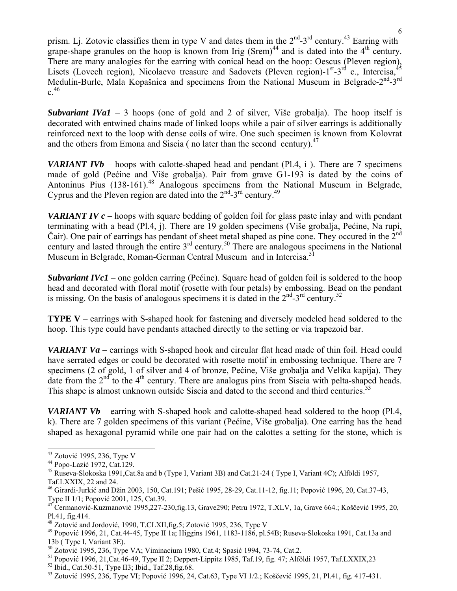prism. Lj. Zotovic classifies them in type V and dates them in the 2<sup>nd</sup>-3<sup>rd</sup> century.<sup>43</sup> Earring with grape-shape granules on the hoop is known from Irig  $(Srem)^{44}$  and is dated into the 4<sup>th</sup> century. There are many analogies for the earring with conical head on the hoop: Oescus (Pleven region), Lisets (Lovech region), Nicolaevo treasure and Sadovets (Pleven region)- $1^{st}$ -3<sup>rd</sup> c., Intercisa,  $45$ Medulin-Burle, Mala Kopašnica and specimens from the National Museum in Belgrade-2<sup>nd</sup>-3<sup>rd</sup>  $c^{46}$ 

*Subvariant IVa1* – 3 hoops (one of gold and 2 of silver, Više grobalja). The hoop itself is decorated with entwined chains made of linked loops while a pair of silver earrings is additionally reinforced next to the loop with dense coils of wire. One such specimen is known from Kolovrat and the others from Emona and Siscia (no later than the second century). $47$ 

*VARIANT IVb* – hoops with calotte-shaped head and pendant (Pl.4, i). There are 7 specimens made of gold (Pećine and Više grobalja). Pair from grave G1-193 is dated by the coins of Antoninus Pius (138-161).<sup>48</sup> Analogous specimens from the National Museum in Belgrade, Cyprus and the Pleven region are dated into the  $2<sup>nd</sup> - 3<sup>rd</sup>$  century.<sup>49</sup>

*VARIANT IV c* – hoops with square bedding of golden foil for glass paste inlay and with pendant terminating with a bead (Pl.4, j). There are 19 golden specimens (Više grobalja, Pećine, Na rupi, Čair). One pair of earrings has pendant of sheet metal shaped as pine cone. They occured in the  $2<sup>nd</sup>$ century and lasted through the entire 3rd century.50 There are analogous specimens in the National Museum in Belgrade, Roman-German Central Museum and in Intercisa.<sup>51</sup>

*Subvariant IVc1* – one golden earring (Pećine). Square head of golden foil is soldered to the hoop head and decorated with floral motif (rosette with four petals) by embossing. Bead on the pendant is missing. On the basis of analogous specimens it is dated in the  $2<sup>nd</sup>$ -3<sup>rd</sup> century.<sup>52</sup>

**TYPE V** – earrings with S-shaped hook for fastening and diversely modeled head soldered to the hoop. This type could have pendants attached directly to the setting or via trapezoid bar.

*VARIANT Va* – earrings with S-shaped hook and circular flat head made of thin foil. Head could have serrated edges or could be decorated with rosette motif in embossing technique. There are 7 specimens (2 of gold, 1 of silver and 4 of bronze, Pećine, Više grobalja and Velika kapija). They date from the  $2<sup>nd</sup>$  to the 4<sup>th</sup> century. There are analogus pins from Siscia with pelta-shaped heads. This shape is almost unknown outside Siscia and dated to the second and third centuries.<sup>53</sup>

*VARIANT Vb* – earring with S-shaped hook and calotte-shaped head soldered to the hoop (Pl.4, k). There are 7 golden specimens of this variant (Pećine, Više grobalja). One earring has the head shaped as hexagonal pyramid while one pair had on the calottes a setting for the stone, which is

<sup>&</sup>lt;sup>43</sup> Zotović 1995, 236, Type V

<sup>&</sup>lt;sup>44</sup> Popo-Lazić 1972, Cat.129.<br><sup>45</sup> Ruseva-Slokoska 1991,Cat.8a and b (Type I, Variant 3B) and Cat.21-24 ( Type I, Variant 4C); Alföldi 1957, Taf.LXXIX, 22 and 24.

<sup>46</sup> Girardi-Jurkić and Đžin 2003, 150, Cat.191; Pešić 1995, 28-29, Cat.11-12, fig.11; Popović 1996, 20, Cat.37-43,

Type II 1/1; Popović 2001, 125, Cat.39.<br><sup>47</sup> Cermanović-Kuzmanović 1995,227-230,fig.13, Grave290; Petru 1972, T.XLV, 1a, Grave 664.; Koščević 1995, 20,

Pl.41, fig.414.<br><sup>48</sup> Zotović and Jordović, 1990, T.CLXII, fig.5; Zotović 1995, 236, Type V

 $49$  Popović 1996, 21, Cat.44-45, Type II 1a; Higgins 1961, 1183-1186, pl.54B; Ruseva-Slokoska 1991, Cat.13a and 13b (Type I, Variant 3E).<br><sup>50</sup> Zotović 1995, 236, Type VA; Viminacium 1980, Cat.4; Spasić 1994, 73-74, Cat.2.

<sup>&</sup>lt;sup>51</sup> Popović 1996, 21, Cat. 46-49, Type II 2; Deppert-Lippitz 1985, Taf. 19, fig. 47; Alföldi 1957, Taf. LXXIX, 23<sup>52</sup> Ibid., Cat. 50-51, Type II3; Ibid., Taf. 28, fig. 68.

<sup>53</sup> Zotović 1995, 236, Type VI; Popović 1996, 24, Cat.63, Type VI 1/2.; Koščević 1995, 21, Pl.41, fig. 417-431.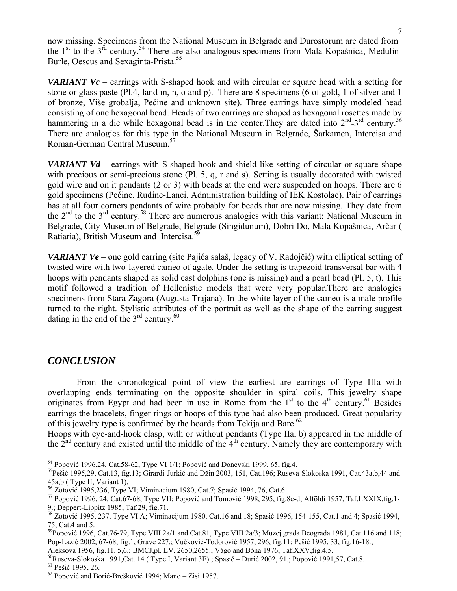now missing. Specimens from the National Museum in Belgrade and Durostorum are dated from the  $1<sup>st</sup>$  to the  $3<sup>rd</sup>$  century.<sup>54</sup> There are also analogous specimens from Mala Kopašnica, Medulin-Burle, Oescus and Sexaginta-Prista.<sup>55</sup>

*VARIANT Vc* – earrings with S-shaped hook and with circular or square head with a setting for stone or glass paste (Pl.4, land m, n, o and p). There are 8 specimens (6 of gold, 1 of silver and 1 of bronze, Više grobalja, Pećine and unknown site). Three earrings have simply modeled head consisting of one hexagonal bead. Heads of two earrings are shaped as hexagonal rosettes made by hammering in a die while hexagonal bead is in the center. They are dated into  $2^{nd}$ -3<sup>rd</sup> century.<sup>56</sup> There are analogies for this type in the National Museum in Belgrade, Šarkamen, Intercisa and Roman-German Central Museum.<sup>57</sup>

*VARIANT Vd* – earrings with S-shaped hook and shield like setting of circular or square shape with precious or semi-precious stone (Pl. 5, q, r and s). Setting is usually decorated with twisted gold wire and on it pendants (2 or 3) with beads at the end were suspended on hoops. There are 6 gold specimens (Pećine, Rudine-Lanci, Administration building of IEK Kostolac). Pair of earrings has at all four corners pendants of wire probably for beads that are now missing. They date from the 2nd to the 3rd century.58 There are numerous analogies with this variant: National Museum in Belgrade, City Museum of Belgrade, Belgrade (Singidunum), Dobri Do, Mala Kopašnica, Arčar ( Ratiaria), British Museum and Intercisa.<sup>51</sup>

*VARIANT Ve* – one gold earring (site Pajića salaš, legacy of V. Radojčić) with elliptical setting of twisted wire with two-layered cameo of agate. Under the setting is trapezoid transversal bar with 4 hoops with pendants shaped as solid cast dolphins (one is missing) and a pearl bead (Pl. 5, t). This motif followed a tradition of Hellenistic models that were very popular.There are analogies specimens from Stara Zagora (Augusta Trajana). In the white layer of the cameo is a male profile turned to the right. Stylistic attributes of the portrait as well as the shape of the earring suggest dating in the end of the  $3<sup>rd</sup>$  century.<sup>60</sup>

#### *CONCLUSION*

 From the chronological point of view the earliest are earrings of Type IIIa with overlapping ends terminating on the opposite shoulder in spiral coils. This jewelry shape originates from Egypt and had been in use in Rome from the  $1<sup>st</sup>$  to the  $4<sup>th</sup>$  century.<sup>61</sup> Besides earrings the bracelets, finger rings or hoops of this type had also been produced. Great popularity of this jewelry type is confirmed by the hoards from Tekija and Bare.<sup>62</sup>

Hoops with eye-and-hook clasp, with or without pendants (Type IIa, b) appeared in the middle of the  $2<sup>nd</sup>$  century and existed until the middle of the  $4<sup>th</sup>$  century. Namely they are contemporary with

 $54$  Popović 1996,24, Cat.58-62, Type VI 1/1; Popović and Donevski 1999, 65, fig.4.

<sup>&</sup>lt;sup>55</sup> Pešić 1995,29, Cat.13, fig.13; Girardi-Jurkić and Đžin 2003, 151, Cat.196; Ruseva-Slokoska 1991, Cat.43a,b,44 and 45a,b (Type II, Variant 1).<br><sup>56</sup> Zotović 1995,236, Type VI; Viminacium 1980, Cat.7; Spasić 1994, 76, Cat.6.

<sup>57</sup> Popović 1996, 24, Cat.67-68, Type VII; Popović and Tomović 1998, 295, fig.8c-d; Alföldi 1957, Taf.LXXIX,fig.1-9.; Deppert-Lippitz 1985, Taf.29, fig.71.

<sup>58</sup> Zotović 1995, 237, Type VI A; Viminacijum 1980, Cat.16 and 18; Spasić 1996, 154-155, Cat.1 and 4; Spasić 1994, 75, Cat.4 and 5.

<sup>&</sup>lt;sup>59</sup>Popović 1996, Cat.76-79, Type VIII 2a/1 and Cat.81, Type VIII 2a/3; Muzej grada Beograda 1981, Cat.116 and 118; Pop-Lazić 2002, 67-68, fig.1, Grave 227.; Vučković-Todorović 1957, 296, fig.11; Pešić 1995, 33, fig.16-18.;

Aleksova 1956, fig.11. 5,6.; BMCJ,pl. LV, 2650,2655.; Vágó and Bóna 1976, Taf.XXV,fig.4,5.

<sup>&</sup>lt;sup>60</sup>Ruseva-Slokoska 1991,Cat. 14 ( Type I, Variant 3E).; Spasić – Đurić 2002, 91.; Popović 1991,57, Cat.8. <sup>61</sup> Pešić 1995, 26. <sup>62</sup> Popović and Borić-Brešković 1994; Mano – Zisi 1957.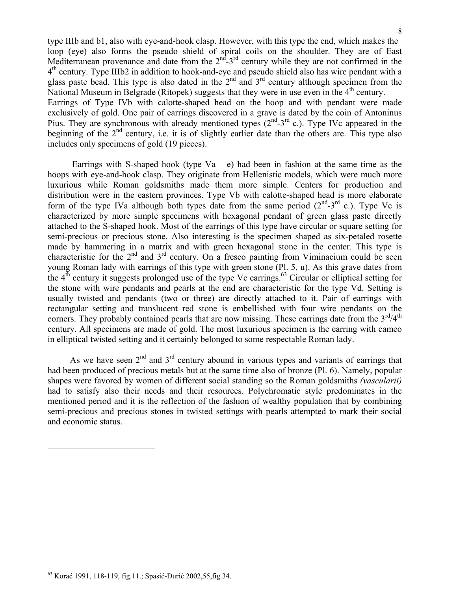type IIIb and b1, also with eye-and-hook clasp. However, with this type the end, which makes the loop (eye) also forms the pseudo shield of spiral coils on the shoulder. They are of East Mediterranean provenance and date from the  $2<sup>nd</sup> - 3<sup>rd</sup>$  century while they are not confirmed in the  $4<sup>th</sup>$  century. Type IIIb2 in addition to hook-and-eye and pseudo shield also has wire pendant with a glass paste bead. This type is also dated in the  $2<sup>nd</sup>$  and  $3<sup>rd</sup>$  century although specimen from the National Museum in Belgrade (Ritopek) suggests that they were in use even in the 4<sup>th</sup> century. Earrings of Type IVb with calotte-shaped head on the hoop and with pendant were made exclusively of gold. One pair of earrings discovered in a grave is dated by the coin of Antoninus Pius. They are synchronous with already mentioned types  $(2^{nd}-3^{rd} c)$ . Type IVc appeared in the beginning of the 2<sup>nd</sup> century, i.e. it is of slightly earlier date than the others are. This type also includes only specimens of gold (19 pieces).

Earrings with S-shaped hook (type  $Va - e$ ) had been in fashion at the same time as the hoops with eye-and-hook clasp. They originate from Hellenistic models, which were much more luxurious while Roman goldsmiths made them more simple. Centers for production and distribution were in the eastern provinces. Type Vb with calotte-shaped head is more elaborate form of the type IVa although both types date from the same period  $(2^{nd}-3^{rd} c)$ . Type Vc is characterized by more simple specimens with hexagonal pendant of green glass paste directly attached to the S-shaped hook. Most of the earrings of this type have circular or square setting for semi-precious or precious stone. Also interesting is the specimen shaped as six-petaled rosette made by hammering in a matrix and with green hexagonal stone in the center. This type is characteristic for the  $2<sup>nd</sup>$  and  $3<sup>rd</sup>$  century. On a fresco painting from Viminacium could be seen young Roman lady with earrings of this type with green stone (Pl. 5, u). As this grave dates from the  $4<sup>th</sup>$  century it suggests prolonged use of the type Vc earrings.<sup>63</sup> Circular or elliptical setting for the stone with wire pendants and pearls at the end are characteristic for the type Vd. Setting is usually twisted and pendants (two or three) are directly attached to it. Pair of earrings with rectangular setting and translucent red stone is embellished with four wire pendants on the corners. They probably contained pearls that are now missing. These earrings date from the  $3<sup>rd</sup>/4<sup>th</sup>$ century. All specimens are made of gold. The most luxurious specimen is the earring with cameo in elliptical twisted setting and it certainly belonged to some respectable Roman lady.

As we have seen  $2<sup>nd</sup>$  and  $3<sup>rd</sup>$  century abound in various types and variants of earrings that had been produced of precious metals but at the same time also of bronze (Pl. 6). Namely, popular shapes were favored by women of different social standing so the Roman goldsmiths *(vascularii)* had to satisfy also their needs and their resources. Polychromatic style predominates in the mentioned period and it is the reflection of the fashion of wealthy population that by combining semi-precious and precious stones in twisted settings with pearls attempted to mark their social and economic status.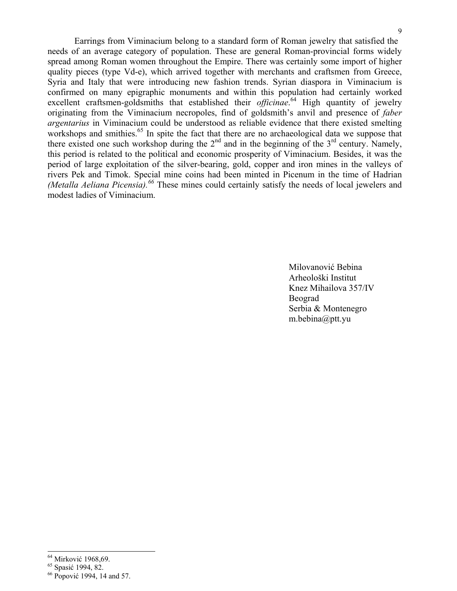Earrings from Viminacium belong to a standard form of Roman jewelry that satisfied the needs of an average category of population. These are general Roman-provincial forms widely spread among Roman women throughout the Empire. There was certainly some import of higher quality pieces (type Vd-e), which arrived together with merchants and craftsmen from Greece, Syria and Italy that were introducing new fashion trends. Syrian diaspora in Viminacium is confirmed on many epigraphic monuments and within this population had certainly worked excellent craftsmen-goldsmiths that established their *officinae*.<sup>64</sup> High quantity of jewelry originating from the Viminacium necropoles, find of goldsmith's anvil and presence of *faber argentarius* in Viminacium could be understood as reliable evidence that there existed smelting workshops and smithies.<sup>65</sup> In spite the fact that there are no archaeological data we suppose that there existed one such workshop during the  $2<sup>nd</sup>$  and in the beginning of the  $3<sup>rd</sup>$  century. Namely, this period is related to the political and economic prosperity of Viminacium. Besides, it was the period of large exploitation of the silver-bearing, gold, copper and iron mines in the valleys of rivers Pek and Timok. Special mine coins had been minted in Picenum in the time of Hadrian *(Metalla Aeliana Picensia).<sup>66</sup>* These mines could certainly satisfy the needs of local jewelers and modest ladies of Viminacium.

 Milovanović Bebina Arheološki Institut Knez Mihailova 357/IV Beograd and the Beograd state of the Beograd Serbia & Montenegro m.bebina@ptt.yu

<sup>&</sup>lt;sup>64</sup> Mirković 1968,69.

<sup>&</sup>lt;sup>65</sup> Spasić 1994, 82.<br><sup>66</sup> Popović 1994, 14 and 57.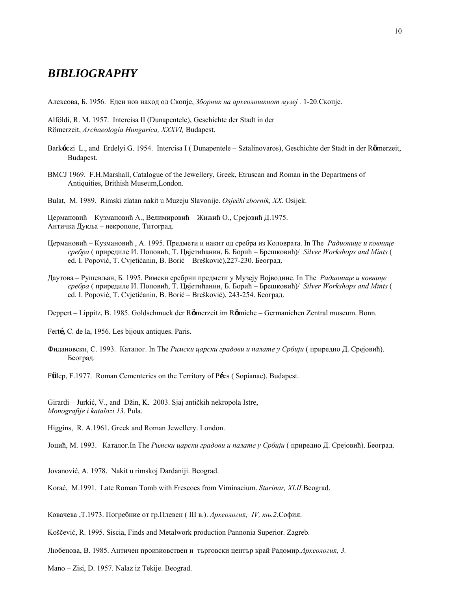### *BIBLIOGRAPHY*

Aлексова, Б. 1956. Еден нов наход од Скопје, *Зборник на археолошкиот музеј .* 1-20.Скопје.

Alföldi, R. M. 1957. Intercisa II (Dunapentele), Geschichte der Stadt in der Römerzeit, *Archaeologia Hungarica, XXXVI,* Budapest.

- Bark**ó**czi L., and Erdelyi G. 1954. Intercisa I ( Dunapentele Sztalinovaros), Geschichte der Stadt in der R**ö**merzeit, Budapest.
- BMCJ 1969. F.H.Marshall, Catalogue of the Jewellery, Greek, Etruscan and Roman in the Departmens of Antiquities, Brithish Museum,London.

Bulat, M. 1989. Rimski zlatan nakit u Muzeju Slavonije. *Osječki zbornik, XX.* Osijek.

Цермановић – Кузмановић А., Велимировић – Жижић О., Срејовић Д.1975. Античка Дукља – некрополе, Титоград.

- Цермановић Кузмановић , А. 1995. Предмети и накит од сребра из Коловрата. In The *Радионице и ковнице сребра* ( приредиле И. Поповић, Т. Цвјетићанин, Б. Борић – Брешковић)/ *Silver Workshops and Mints* ( ed. I. Popović, T. Cvjetićanin, B. Borić – Brešković),227-230. Београд.
- Даутова Рушевљан, Б. 1995. Римски сребрни предмети у Музеју Војводине. In The *Радионице и ковнице сребра* ( приредиле И. Поповић, Т. Цвјетићанин, Б. Борић – Брешковић)/ *Silver Workshops and Mints* ( ed. I. Popović, T. Cvjetićanin, B. Borić – Brešković), 243-254. Београд.

Deppert – Lippitz, B. 1985. Goldschmuck der R**ö**merzeit im R**ö**miche – Germanichen Zentral museum. Bonn.

Fert**é,** C. de la, 1956. Les bijoux antiques. Paris.

Фидановски, С. 1993. Каталог. In The *Римски царски градови и палате у Србији* ( приредио Д. Срејовић). Београд.

F**ü**lep, F.1977. Roman Cementeries on the Territory of P**é**cs ( Sopianae). Budapest.

Girardi – Jurkić, V., and Đžin, K. 2003. Sjaj antičkih nekropola Istre, *Monografije i katalozi 13*. Pula.

Higgins, R. A.1961. Greek and Roman Jewellery. London.

Јоцић, М. 1993. Каталог.In The *Римски царски градови и палате у Србији* ( приредио Д. Срејовић). Београд.

Jovanović, A. 1978. Nakit u rimskoj Dardaniji. Beograd.

Korać, M.1991. Late Roman Tomb with Frescoes from Viminacium. *Starinar, XLII.*Beograd.

Ковачева ,Т.1973. Погребние от гр.Плевен ( III в.). *Археология, IV, књ.2*.София.

Koščević, R. 1995. Siscia, Finds and Metalwork production Pannonia Superior. Zagreb.

Любенова, В. 1985. Античен произиовствен и търговски център край Радомир.*Археология, 3.* 

Mano – Zisi, Đ. 1957. Nalaz iz Tekije. Beograd.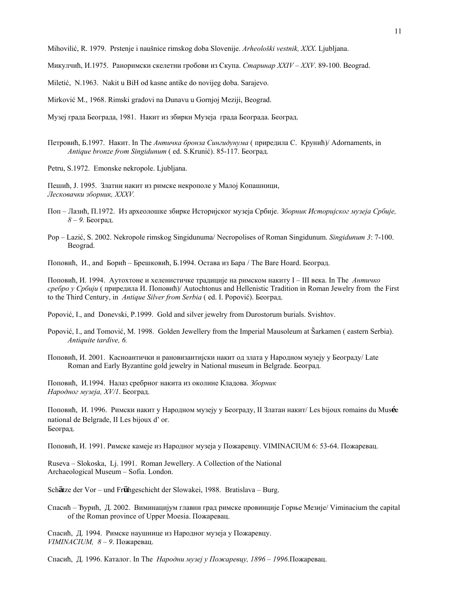Mihovilić, R. 1979. Prstenje i naušnice rimskog doba Slovenije. *Arheološki vestnik, XXX*. Ljubljana.

Микулчић, И.1975. Раноримски скелетни гробови из Скупа. *Старинар XXIV – XXV*. 89-100. Beograd.

Miletić, N.1963. Nakit u BiH od kasne antike do novijeg doba. Sarajevo.

Mirković M., 1968. Rimski gradovi na Dunavu u Gornjoj Meziji, Beograd.

Музеј града Београда, 1981. Накит из збирки Музеја града Београда. Београд.

Петровић, Б.1997. Накит. In The *Античка бронза Сингидунума* ( приредила С. Крунић)/ Аdornaments, in *Antique bronze from Singidunum* ( ed. S.Krunić). 85-117. Београд.

Petru, S.1972. Emonske nekropole. Ljubljana.

Пешић, Ј. 1995. Златни накит из римске некрополе у Малој Копашници, *Лесковачки зборник, XXXV.*

- Поп Лазић, П.1972. Из археолошке збирке Историјског музеја Србије. *Зборник Историјског музеја Србије, 8 – 9.* Београд.
- Pop Lazić, S. 2002. Nekropole rimskog Singidunuma/ Necropolises of Roman Singidunum. *Singidunum 3*: 7-100. Beograd.

Поповић, И., and Борић – Брешковић, Б.1994. Остава из Бара / The Bare Hoard. Београд.

Поповић, И. 1994. Аутохтоне и хеленистичке традиције на римском накиту I – III века. In The *Античко сребро у Србији* ( приредила И. Поповић)/ Аutochtonus and Hellenistic Tradition in Roman Jewelry from the First to the Third Century, in *Antique Silver from Serbia* ( ed. I. Popović). Београд.

Popović, I., and Donevski, P.1999. Gold and silver jewelry from Durostorum burials. Svishtov.

Popović, I., and Tomović, M. 1998. Golden Jewellery from the Imperial Mausoleum at Šarkamen ( eastern Serbia). *Antiquite tardive, 6.*

Поповић, И. 2001. Касноантички и рановизантијски накит од злата у Народном музеју у Београду/ Late Roman and Early Byzantine gold jewelry in National museum in Belgrade. Београд.

Поповић, И.1994. Налаз сребрног накита из околине Кладова. *Зборник Народног музеја, XV/1*. Београд.

Поповић, И. 1996. Римски накит у Народном музеју у Београду, II Златан накит/ Les bijoux romains du Mus**é**e national de Belgrade, II Les bijoux d' or. Београд.

Поповић, И. 1991. Римске камеје из Народног музеја у Пожаревцу. VIMINACIUM 6: 53-64. Пожаревац.

Ruseva – Slokoska, Lj. 1991. Roman Jewellery. A Collection of the National Archaeological Museum – Sofia. London.

Sch**ä**tze der Vor – und Fr**ü**hgeschicht der Slowakei, 1988. Bratislava – Burg.

Спасић – Ђурић, Д. 2002. Виминацијум главни град римске провинције Горње Мезије/ Viminacium the capital of the Roman province of Upper Moesia. Пожаревац.

Спасић, Д. 1994. Римске наушнице из Народног музеја у Пожаревцу. *VIMINACIUM, 8 – 9*. Пожаревац.

Спасић, Д. 1996. Каталог. In The *Народни музеј у Пожаревцу, 1896 – 1996.*Пожаревац.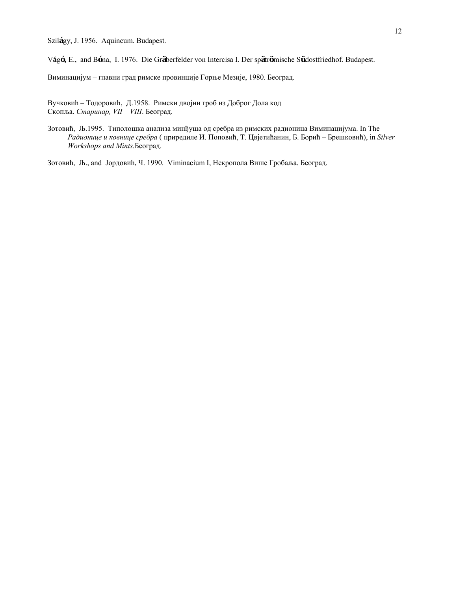Szil**á**gy, J. 1956. Aquincum. Budapest.

V**á**g**ó,** E., and B**ó**na, I. 1976. Die Gr**ä**berfelder von Intercisa I. Der sp**ä**tr**ö**mische S**ü**dostfriedhof. Budapest.

Виминацијум – главни град римске провинције Горње Мезије, 1980. Београд.

Вучковић – Тодоровић, Д.1958. Римски двојни гроб из Доброг Дола код Скопља. *Старинар, VII – VIII*. Београд.

Зотовић, Љ.1995. Типолошка анализа минђуша од сребра из римских радионица Виминацијума. In The *Радионице и ковнице сребра* ( приредиле И. Поповић, Т. Цвјетићанин, Б. Борић – Брешковић), in *Silver Workshops and Mints.*Београд.

Зотовић, Љ., and Јордовић, Ч. 1990. Viminacium I, Некропола Више Гробаља. Београд.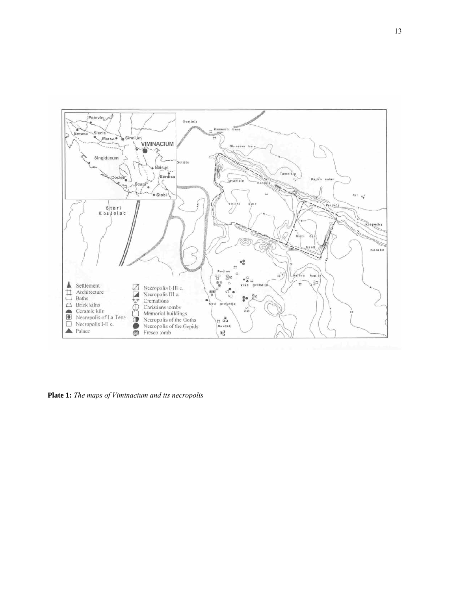

**Plate 1:** *The maps of Viminacium and its necropolis*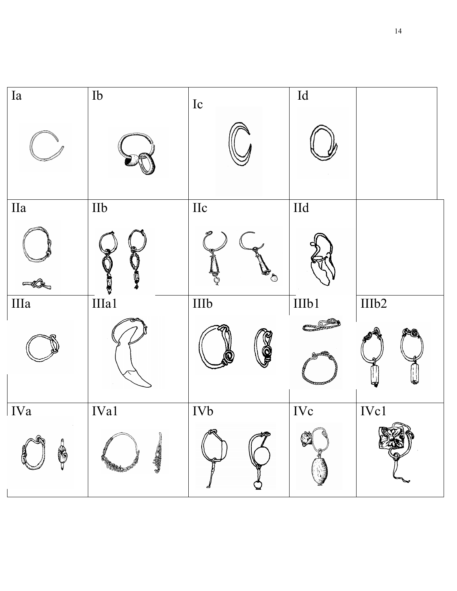| Ia                                                   | ${\rm Ib}$                 | Ic          | $\mathop{\rm Id}\nolimits$ |       |
|------------------------------------------------------|----------------------------|-------------|----------------------------|-------|
|                                                      |                            |             |                            |       |
| $\rm I\hspace{-.1em}I\hspace{-.1em}I\hspace{-.1em}I$ | $\mathop{\rm Hb}\nolimits$ | $\prod c$   | $\overline{Hd}$            |       |
| ∙©≂                                                  | y                          | ED          |                            |       |
| IIIa                                                 | IIIa1                      | IIIb        | IIIb1                      | IIIb2 |
|                                                      |                            | <b>to a</b> | gazz                       |       |
| IVa                                                  | IVa1                       | <b>IVb</b>  | <b>IVc</b>                 | IVc1  |
| R                                                    | 3.440.<br><b>RANGER</b>    | ଭ           |                            |       |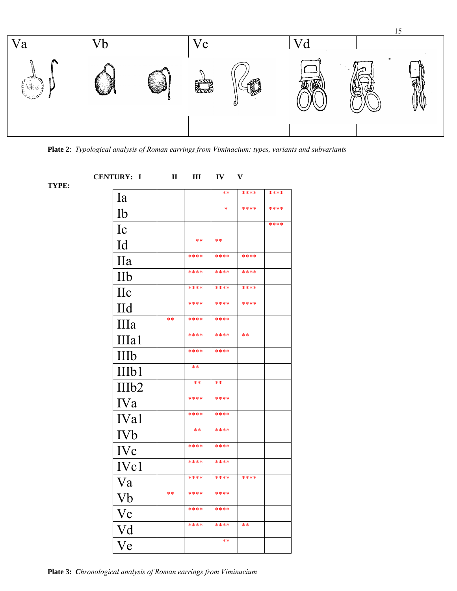

**Plate 2**: *Typological analysis of Roman earrings from Viminacium: types, variants and subvariants*

**TYPE:** 

| TYPE: | <b>CENTURY: I</b> | $\mathbf{I}$ | III   | IV    | V     |      |
|-------|-------------------|--------------|-------|-------|-------|------|
|       | Ia                |              |       | $***$ | ****  | **** |
|       | Ib                |              |       | *     | ****  | **** |
|       | Ic                |              |       |       |       | **** |
|       | Id                |              | $***$ | **    |       |      |
|       | <b>IIa</b>        |              | ****  | ****  | ****  |      |
|       | IIb               |              | ****  | ****  | ****  |      |
|       | $\prod$ c         |              | ****  | ****  | ****  |      |
|       | <b>IId</b>        |              | ****  | ****  | ****  |      |
|       | IIIa              | **           | ****  | ****  |       |      |
|       | IIIa1             |              | ****  | ****  | $***$ |      |
|       | IIIb              |              | ****  | ****  |       |      |
|       | IIIb1             |              | $***$ |       |       |      |
|       | IIIb <sub>2</sub> |              | **    | **    |       |      |
|       | <b>IVa</b>        |              | ****  | ****  |       |      |
|       | IVa1              |              | ****  | ****  |       |      |
|       | <b>IVb</b>        |              | $**$  | ****  |       |      |
|       | <b>IVc</b>        |              | ****  | ****  |       |      |
|       | IV <sub>c1</sub>  |              | ****  | ****  |       |      |
|       | Va                |              | ****  | ****  | ****  |      |
|       | Vb                | $**$         | ****  | ****  |       |      |
|       | $\rm Vc$          |              | ****  | ****  |       |      |
|       |                   |              | ****  | ****  | $***$ |      |
|       | Vd                |              |       | $**$  |       |      |
|       | Ve                |              |       |       |       |      |

**Plate 3:** *Chronological analysis of Roman earrings from Viminacium*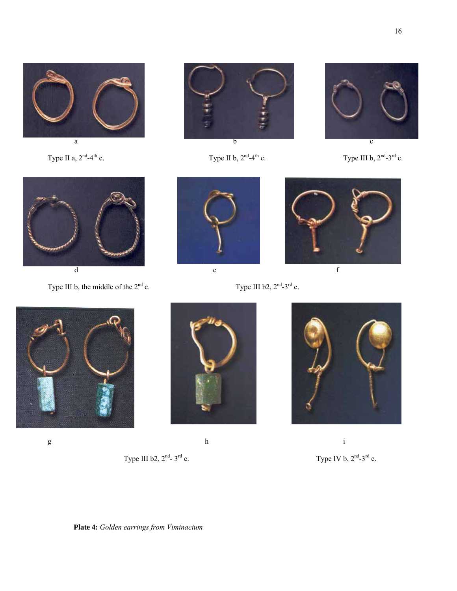



Type II a,  $2<sup>nd</sup>-4<sup>th</sup>$  c. Type II b,  $2<sup>nd</sup>-4<sup>th</sup>$  c. Type III b,  $2<sup>nd</sup>-3<sup>rd</sup>$  c.





Type III b, the middle of the  $2^{nd}$  c. Type III b2,  $2^{nd}$ - $3^{rd}$  c.











g between  $h$  ii



Type III b2,  $2^{nd}$ -  $3^{rd}$  c. Type IV b,  $2^{nd}$ - $3^{rd}$  c.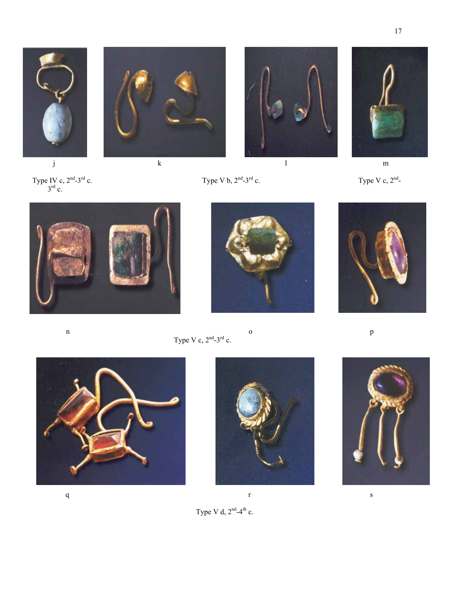















n o p Type V c,  $2<sup>nd</sup> - 3<sup>rd</sup>$  c.











Type V d,  $2<sup>nd</sup>-4<sup>th</sup>$  c.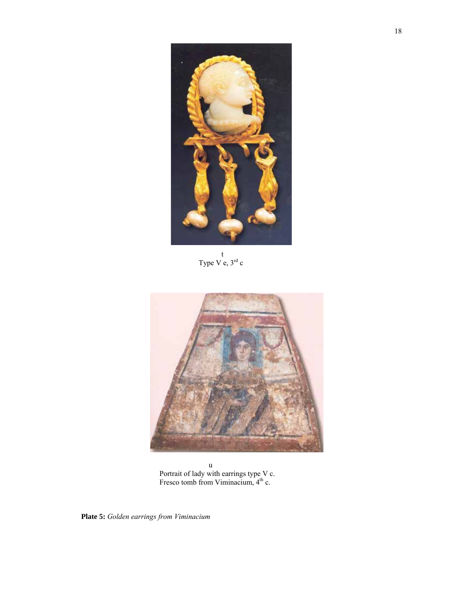

t<sub>t</sub> Type V e,  $3^{rd}$  c



u Portrait of lady with earrings type V c. Fresco tomb from Viminacium,  $4<sup>th</sup>$  c.

**Plate 5:** *Golden earrings from Viminacium*